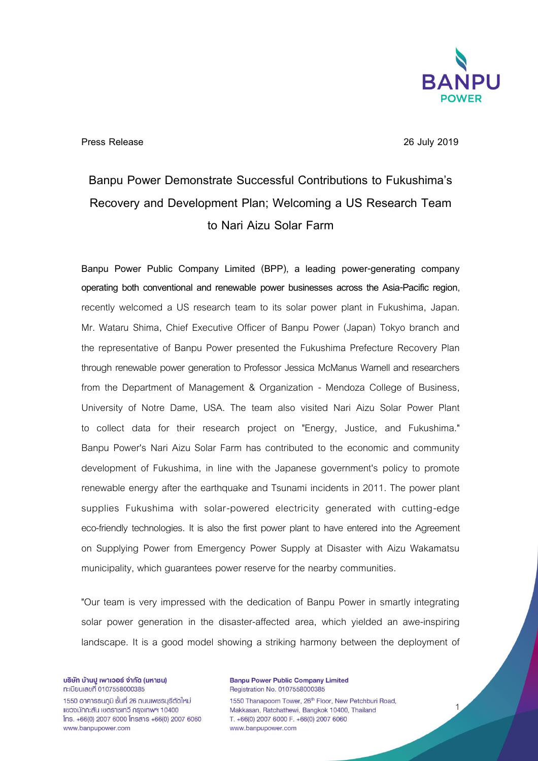

**Press Release 26 July 2019**

## **Banpu Power Demonstrate Successful Contributions to Fukushima's Recovery and Development Plan; Welcoming a US Research Team to Nari Aizu Solar Farm**

**Banpu Power Public Company Limited (BPP), a leading power-generating company operating both conventional and renewable power businesses across the Asia-Pacific region**, recently welcomed a US research team to its solar power plant in Fukushima, Japan. Mr. Wataru Shima, Chief Executive Officer of Banpu Power (Japan) Tokyo branch and the representative of Banpu Power presented the Fukushima Prefecture Recovery Plan through renewable power generation to Professor Jessica McManus Warnell and researchers from the Department of Management & Organization - Mendoza College of Business, University of Notre Dame, USA. The team also visited Nari Aizu Solar Power Plant to collect data for their research project on "Energy, Justice, and Fukushima." Banpu Power's Nari Aizu Solar Farm has contributed to the economic and community development of Fukushima, in line with the Japanese government's policy to promote renewable energy after the earthquake and Tsunami incidents in 2011. The power plant supplies Fukushima with solar-powered electricity generated with cutting-edge eco-friendly technologies. It is also the first power plant to have entered into the Agreement on Supplying Power from Emergency Power Supply at Disaster with Aizu Wakamatsu municipality, which guarantees power reserve for the nearby communities.

"Our team is very impressed with the dedication of Banpu Power in smartly integrating solar power generation in the disaster-affected area, which yielded an awe-inspiring landscape. It is a good model showing a striking harmony between the deployment of

บริษัท บ้านปู เพาเวอร์ จำกัด (มหาชน) ทะเบียนเลขที่ 0107558000385

1550 อาคารธนภูมิ ชั้นที่ 26 ถนนเพชรบุรีตัดใหม่ แขวงมักกะสัน เขตราชเทวี กรุงเทพฯ 10400  $[$ ns. +66(0) 2007 6000  $[$ nsans +66(0) 2007 6060 www.banpupower.com

**Banpu Power Public Company Limited** Registration No. 0107558000385 1550 Thanapoom Tower, 26<sup>th</sup> Floor, New Petchburi Road, Makkasan, Ratchathewi, Bangkok 10400, Thailand T. +66(0) 2007 6000 F. +66(0) 2007 6060 www.banpupower.com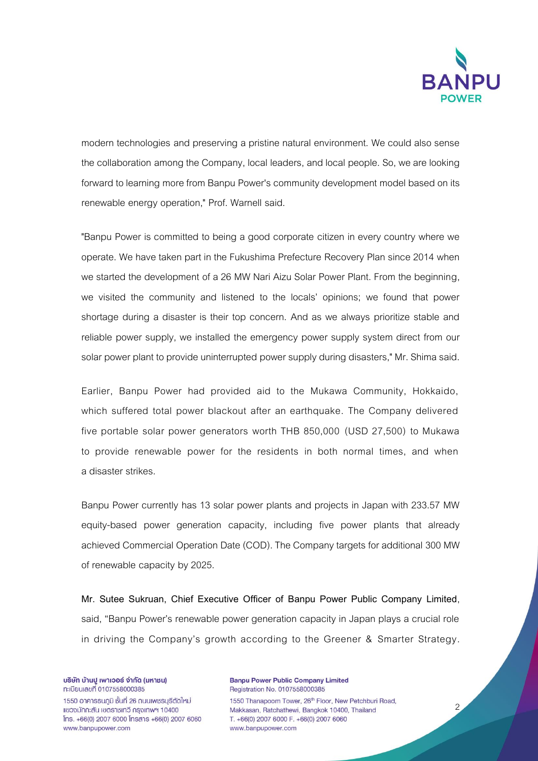

modern technologies and preserving a pristine natural environment. We could also sense the collaboration among the Company, local leaders, and local people. So, we are looking forward to learning more from Banpu Power's community development model based on its renewable energy operation," Prof. Warnell said.

"Banpu Power is committed to being a good corporate citizen in every country where we operate. We have taken part in the Fukushima Prefecture Recovery Plan since 2014 when we started the development of a 26 MW Nari Aizu Solar Power Plant. From the beginning, we visited the community and listened to the locals' opinions; we found that power shortage during a disaster is their top concern. And as we always prioritize stable and reliable power supply, we installed the emergency power supply system direct from our solar power plant to provide uninterrupted power supply during disasters," Mr. Shima said.

Earlier, Banpu Power had provided aid to the Mukawa Community, Hokkaido, which suffered total power blackout after an earthquake. The Company delivered five portable solar power generators worth THB 850,000 (USD 27,500) to Mukawa to provide renewable power for the residents in both normal times, and when a disaster strikes.

Banpu Power currently has 13 solar power plants and projects in Japan with 233.57 MW equity-based power generation capacity, including five power plants that already achieved Commercial Operation Date (COD). The Company targets for additional 300 MW of renewable capacity by 2025.

**Mr. Sutee Sukruan, Chief Executive Officer of Banpu Power Public Company Limited**, said, "Banpu Power's renewable power generation capacity in Japan plays a crucial role in driving the Company's growth according to the Greener & Smarter Strategy.

บริษัท บ้านปู เพาเวอร์ จำกัด (มหาชน) ทะเบียนเลขที่ 0107558000385

1550 อาคารธนภูมิ ชั้นที่ 26 ถนนเพชรบุรีตัดใหม่ แขวงมักกะสัน เขตราชเทวี กรุงเทพฯ 10400  $[$ ns. +66(0) 2007 6000  $[$ nsans +66(0) 2007 6060 www.banpupower.com

**Banpu Power Public Company Limited** Registration No. 0107558000385 1550 Thanapoom Tower, 26th Floor, New Petchburi Road, Makkasan, Ratchathewi, Bangkok 10400, Thailand T. +66(0) 2007 6000 F. +66(0) 2007 6060 www.banpupower.com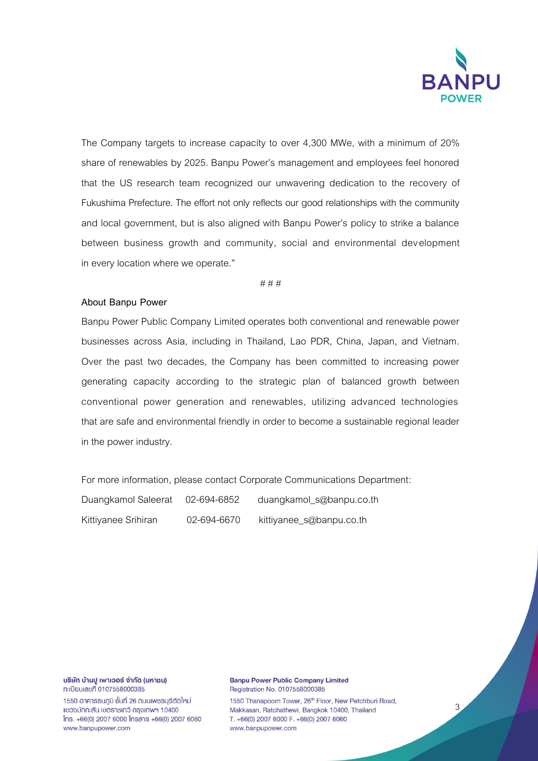

The Company targets to increase capacity to over 4,300 MWe, with a minimum of 20% share of renewables by 2025. Banpu Power's management and employees feel honored that the US research team recognized our unwavering dedication to the recovery of Fukushima Prefecture. The effort not only reflects our good relationships with the community and local government, but is also aligned with Banpu Power's policy to strike a balance between business growth and community, social and environmental development in every location where we operate."

# # #

## **About Banpu Power**

Banpu Power Public Company Limited operates both conventional and renewable power businesses across Asia, including in Thailand, Lao PDR, China, Japan, and Vietnam. Over the past two decades, the Company has been committed to increasing power generating capacity according to the strategic plan of balanced growth between conventional power generation and renewables, utilizing advanced technologies that are safe and environmental friendly in order to become a sustainable regional leader in the power industry.

For more information, please contact Corporate Communications Department: Duangkamol Saleerat 02-694-6852 duangkamol\_s@banpu.co.th Kittiyanee Srihiran 02-694-6670 kittiyanee\_s@banpu.co.th

บริษัท บ้านปู เพาเวอร์ จำกัด (มหาชน) ทะเบียนเลขที่ 0107558000385 1550 อาคารธนภูมิ ชั้นที่ 26 ถนนเพชรบุรีตัดใหม่ แขวงมักกะสัน เขตราชเทวี กรุงเทพฯ 10400

 $[$ ns. +66(0) 2007 6000  $[$ nsans +66(0) 2007 6060 www.banpupower.com

**Banpu Power Public Company Limited** Registration No. 0107558000385 1550 Thanapoom Tower, 26th Floor, New Petchburi Road, Makkasan, Ratchathewi, Bangkok 10400, Thailand T. +66(0) 2007 6000 F. +66(0) 2007 6060 www.banpupower.com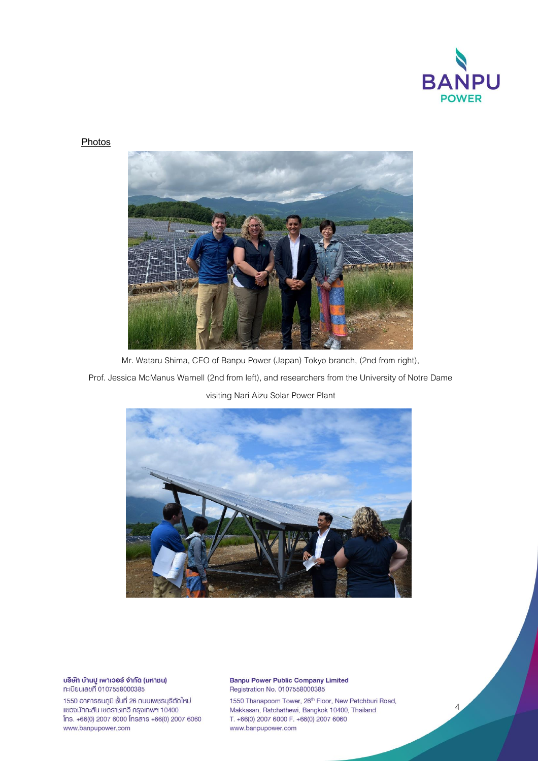

 $\Delta$ 

## **Photos**



Mr. Wataru Shima, CEO of Banpu Power (Japan) Tokyo branch, (2nd from right),

Prof. Jessica McManus Warnell (2nd from left), and researchers from the University of Notre Dame

## visiting Nari Aizu Solar Power Plant



บริษัท บ้านปู เพาเวอร์ จำกัด (มหาชน) ทะเบียนเลขที่ 0107558000385

1550 อาคารธนภูมิ ชั้นที่ 26 ถนนเพชรบุรีตัดใหม่ แขวงมักกะสัน เขตราชเทวี กรุงเทพฯ 10400 Ins. +66(0) 2007 6000 Insans +66(0) 2007 6060 www.banpupower.com

**Banpu Power Public Company Limited** Registration No. 0107558000385

1550 Thanapoom Tower, 26<sup>th</sup> Floor, New Petchburi Road, Makkasan, Ratchathewi, Bangkok 10400, Thailand T. +66(0) 2007 6000 F. +66(0) 2007 6060 www.banpupower.com